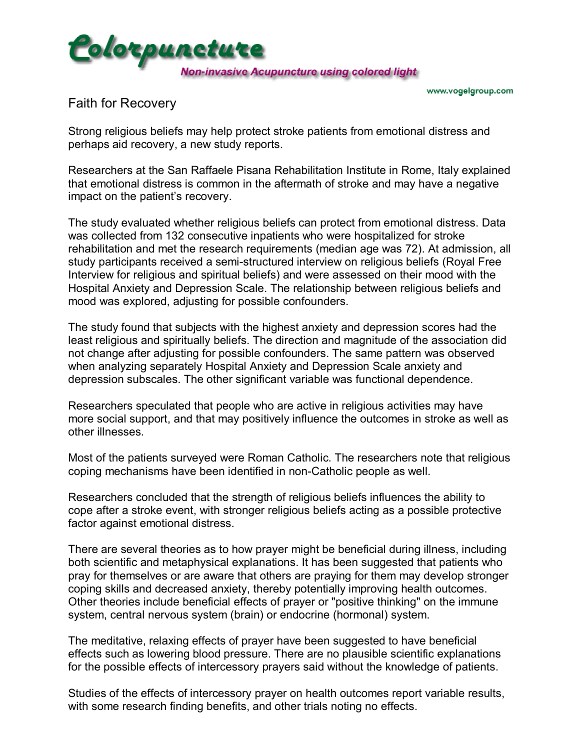

Faith for Recovery

Strong religious beliefs may help protect stroke patients from emotional distress and perhaps aid recovery, a new study reports.

Researchers at the San Raffaele Pisana Rehabilitation Institute in Rome, Italy explained that emotional distress is common in the aftermath of stroke and may have a negative impact on the patient's recovery.

The study evaluated whether religious beliefs can protect from emotional distress. Data was collected from 132 consecutive inpatients who were hospitalized for stroke rehabilitation and met the research requirements (median age was 72). At admission, all study participants received a semi-structured interview on religious beliefs (Royal Free Interview for religious and spiritual beliefs) and were assessed on their mood with the Hospital Anxiety and Depression Scale. The relationship between religious beliefs and mood was explored, adjusting for possible confounders.

The study found that subjects with the highest anxiety and depression scores had the least religious and spiritually beliefs. The direction and magnitude of the association did not change after adjusting for possible confounders. The same pattern was observed when analyzing separately Hospital Anxiety and Depression Scale anxiety and depression subscales. The other significant variable was functional dependence.

Researchers speculated that people who are active in religious activities may have more social support, and that may positively influence the outcomes in stroke as well as other illnesses.

Most of the patients surveyed were Roman Catholic. The researchers note that religious coping mechanisms have been identified in non-Catholic people as well.

Researchers concluded that the strength of religious beliefs influences the ability to cope after a stroke event, with stronger religious beliefs acting as a possible protective factor against emotional distress.

There are several theories as to how prayer might be beneficial during illness, including both scientific and metaphysical explanations. It has been suggested that patients who pray for themselves or are aware that others are praying for them may develop stronger coping skills and decreased anxiety, thereby potentially improving health outcomes. Other theories include beneficial effects of prayer or "positive thinking" on the immune system, central nervous system (brain) or endocrine (hormonal) system.

The meditative, relaxing effects of prayer have been suggested to have beneficial effects such as lowering blood pressure. There are no plausible scientific explanations for the possible effects of intercessory prayers said without the knowledge of patients.

Studies of the effects of intercessory prayer on health outcomes report variable results, with some research finding benefits, and other trials noting no effects.